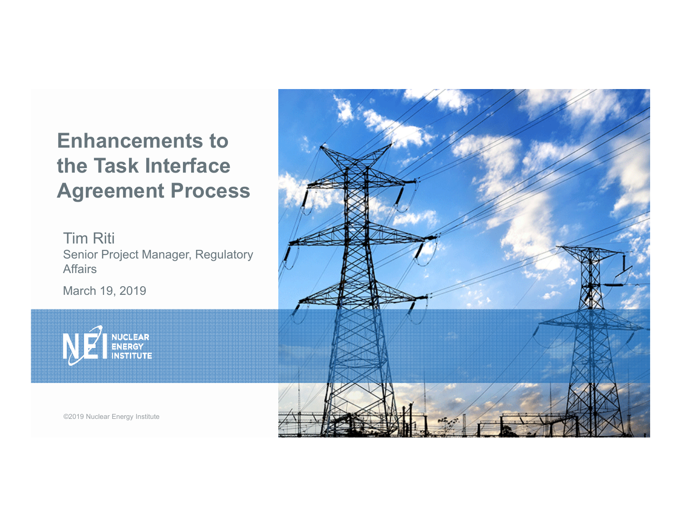#### **Enhancements to the Task Interface Agreement Process**

Tim Riti Senior Project Manager, Regulatory Affairs

March 19, 2019



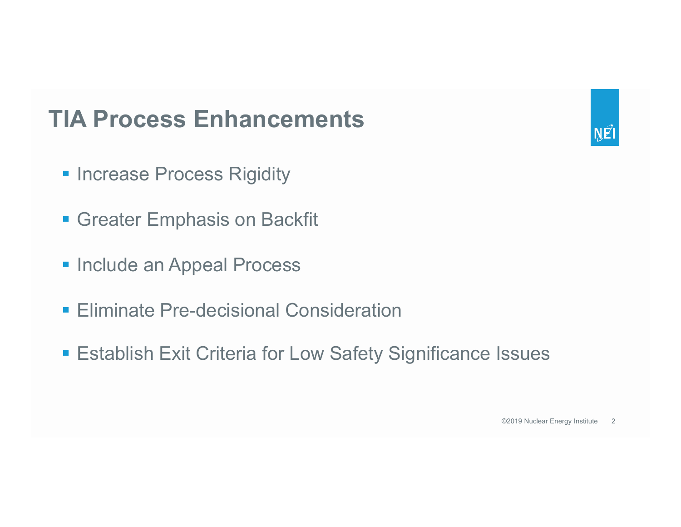# **TIA Process Enhancements**

- **Increase Process Rigidity**
- **Greater Emphasis on Backfit**
- **Include an Appeal Process**
- **Eliminate Pre-decisional Consideration**
- **Establish Exit Criteria for Low Safety Significance Issues**

©2019 Nuclear Energy Institute 2

 $N\widehat{E}$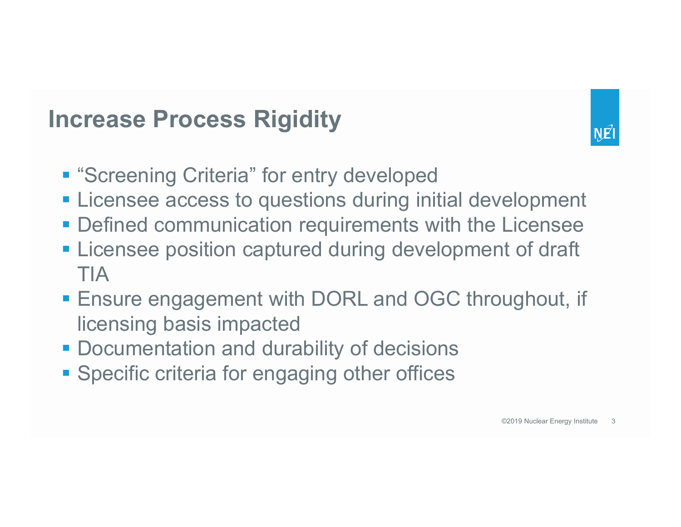### **Increase Process Rigidity**

- **"Screening Criteria" for entry developed**
- **Example 23 Feraise 20 Feraise 3 Feraise 3 Feraise 3 Feraise 3 Feraise 3 Feraise 3 Feraise 3 Feraise 3 Feraise 3 Feraise 3 Feraise 3 Feraise 3 Feraise 3 Feraise 3 Feraise 3 Feraise 3 Feraise 3 Feraise 3 Feraise 3 Feraise 3**
- **Defined communication requirements with the Licensee**
- **Example 2 Figure 1 Circuit 1 Figure 1 Figure 1 Figure 1 Figure 1 Figure 1 Figure 1 Figure 1 Figure 1 Figure 1 Figure 1 Figure 1 Figure 1 Figure 1 Figure 1 Figure 1 Figure 1 Figure 1 Figure 1 Figure 1 Figure 1 Figure 1 Fig** TIA
- **Ensure engagement with DORL and OGC throughout, if** licensing basis impacted
- **Documentation and durability of decisions**
- **Specific criteria for engaging other offices**

NÉI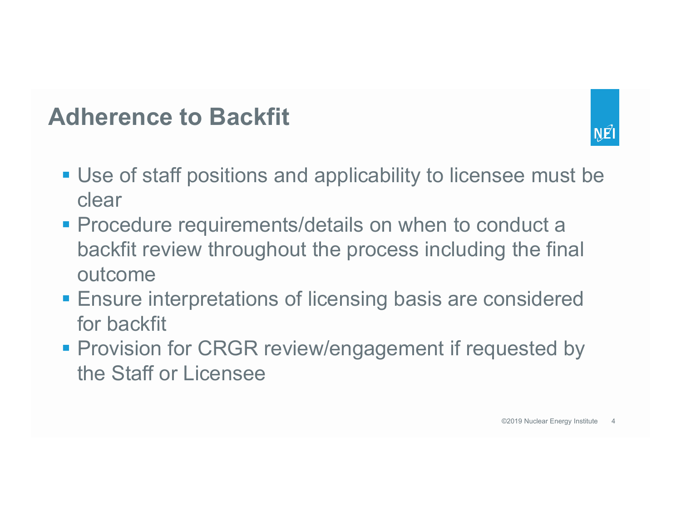## **Adherence to Backfit**

- Use of staff positions and applicability to licensee must be clear
- **Procedure requirements/details on when to conduct a** backfit review throughout the process including the final outcome
- **Ensure interpretations of licensing basis are considered** for backfit
- **Provision for CRGR review/engagement if requested by** the Staff or Licensee

NÉI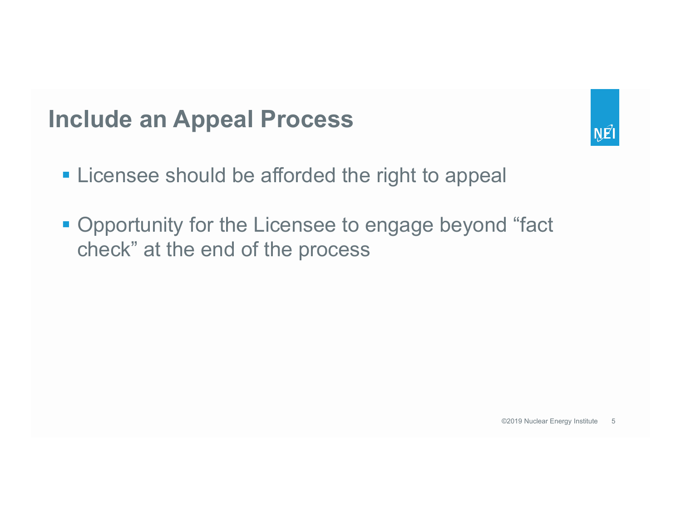#### **Include an Appeal Process**

- **Example 2 Figure 1 Figure 1 Figure 1 Figure 1 Figure 1 Figure 1 Figure 1 Figure 1 Figure 1 Figure 1 Figure 1 Figure 1 Figure 1 Figure 1 Figure 1 Figure 1 Figure 1 Figure 1 Figure 1 Figure 1 Figure 1 Figure 1 Figure 1 Figu**
- **Opportunity for the Licensee to engage beyond "fact** check" at the end of the process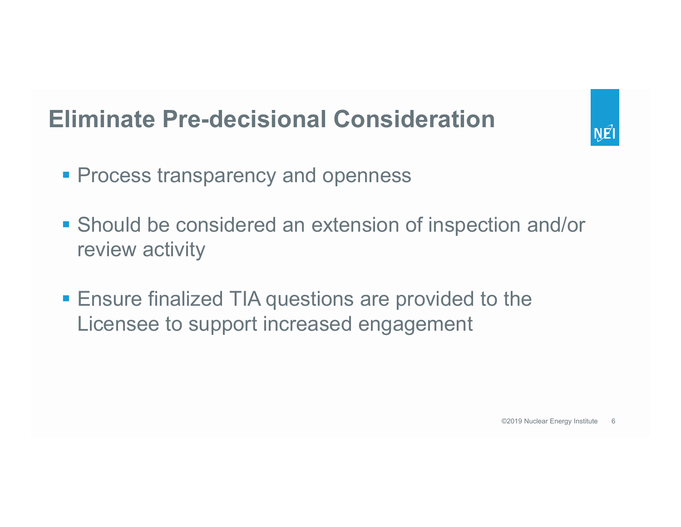# **Eliminate Pre-decisional Consideration**

- **Process transparency and openness**
- **Should be considered an extension of inspection and/or** review activity
- **Ensure finalized TIA questions are provided to the** Licensee to support increased engagement

©2019 Nuclear Energy Institute 6

 $N\widehat{E}$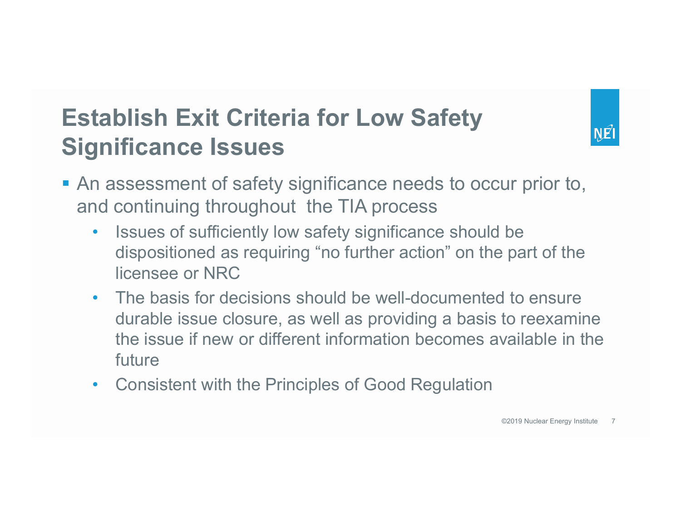# **Establish Exit Criteria for Low Safety Significance Issues**

- NÉI
- An assessment of safety significance needs to occur prior to, and continuing throughout the TIA process
	- • Issues of sufficiently low safety significance should be dispositioned as requiring "no further action" on the part of the licensee or NRC
	- The basis for decisions should be well-documented to ensure durable issue closure, as well as providing a basis to reexamine the issue if new or different information becomes available in the future
	- $\bullet$ Consistent with the Principles of Good Regulation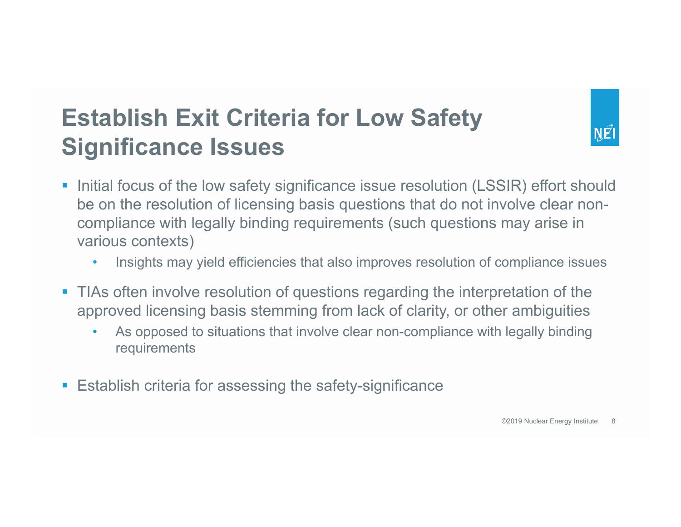# **Establish Exit Criteria for Low Safety Significance Issues**

NEI

- Initial focus of the low safety significance issue resolution (LSSIR) effort should be on the resolution of licensing basis questions that do not involve clear noncompliance with legally binding requirements (such questions may arise in various contexts)
	- •Insights may yield efficiencies that also improves resolution of compliance issues
- TIAs often involve resolution of questions regarding the interpretation of the approved licensing basis stemming from lack of clarity, or other ambiguities
	- • As opposed to situations that involve clear non-compliance with legally binding requirements
- Establish criteria for assessing the safety-significance